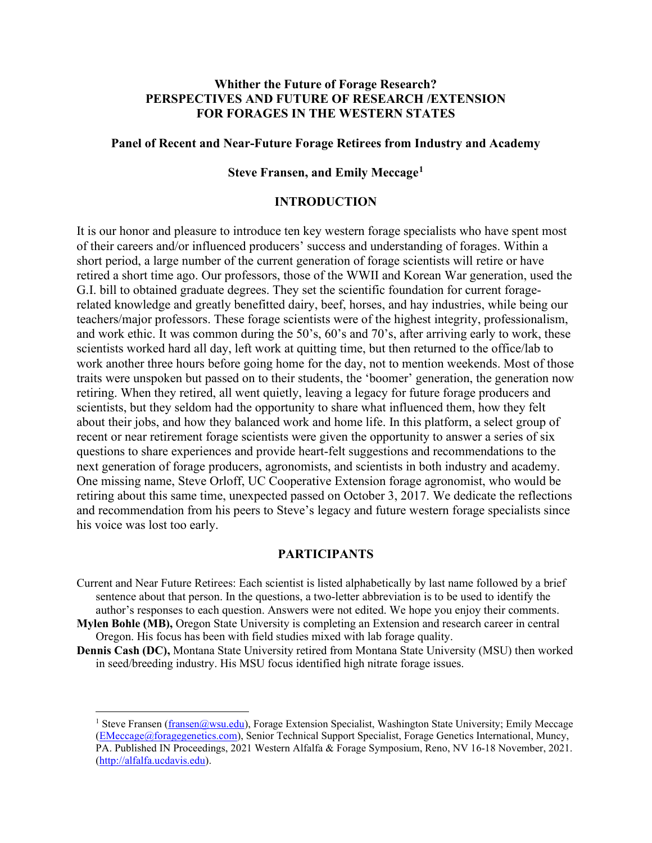# **Whither the Future of Forage Research? PERSPECTIVES AND FUTURE OF RESEARCH /EXTENSION FOR FORAGES IN THE WESTERN STATES**

#### **Panel of Recent and Near-Future Forage Retirees from Industry and Academy**

## **Steve Fransen, and Emily Meccage[1](#page-0-0)**

## **INTRODUCTION**

It is our honor and pleasure to introduce ten key western forage specialists who have spent most of their careers and/or influenced producers' success and understanding of forages. Within a short period, a large number of the current generation of forage scientists will retire or have retired a short time ago. Our professors, those of the WWII and Korean War generation, used the G.I. bill to obtained graduate degrees. They set the scientific foundation for current foragerelated knowledge and greatly benefitted dairy, beef, horses, and hay industries, while being our teachers/major professors. These forage scientists were of the highest integrity, professionalism, and work ethic. It was common during the 50's, 60's and 70's, after arriving early to work, these scientists worked hard all day, left work at quitting time, but then returned to the office/lab to work another three hours before going home for the day, not to mention weekends. Most of those traits were unspoken but passed on to their students, the 'boomer' generation, the generation now retiring. When they retired, all went quietly, leaving a legacy for future forage producers and scientists, but they seldom had the opportunity to share what influenced them, how they felt about their jobs, and how they balanced work and home life. In this platform, a select group of recent or near retirement forage scientists were given the opportunity to answer a series of six questions to share experiences and provide heart-felt suggestions and recommendations to the next generation of forage producers, agronomists, and scientists in both industry and academy. One missing name, Steve Orloff, UC Cooperative Extension forage agronomist, who would be retiring about this same time, unexpected passed on October 3, 2017. We dedicate the reflections and recommendation from his peers to Steve's legacy and future western forage specialists since his voice was lost too early.

#### **PARTICIPANTS**

- Current and Near Future Retirees: Each scientist is listed alphabetically by last name followed by a brief sentence about that person. In the questions, a two-letter abbreviation is to be used to identify the author's responses to each question. Answers were not edited. We hope you enjoy their comments.
- **Mylen Bohle (MB),** Oregon State University is completing an Extension and research career in central Oregon. His focus has been with field studies mixed with lab forage quality.
- **Dennis Cash (DC),** Montana State University retired from Montana State University (MSU) then worked in seed/breeding industry. His MSU focus identified high nitrate forage issues.

<span id="page-0-0"></span><sup>&</sup>lt;sup>1</sup> Steve Fransen [\(fransen@wsu.edu\)](mailto:fransen@wsu.edu), Forage Extension Specialist, Washington State University; Emily Meccage [\(EMeccage@foragegenetics.com\)](mailto:EMeccage@foragegenetics.com), Senior Technical Support Specialist, Forage Genetics International, Muncy, PA. Published IN Proceedings, 2021 Western Alfalfa & Forage Symposium, Reno, NV 16-18 November, 2021. [\(http://alfalfa.ucdavis.edu\)](http://alfalfa.ucdavis.edu/).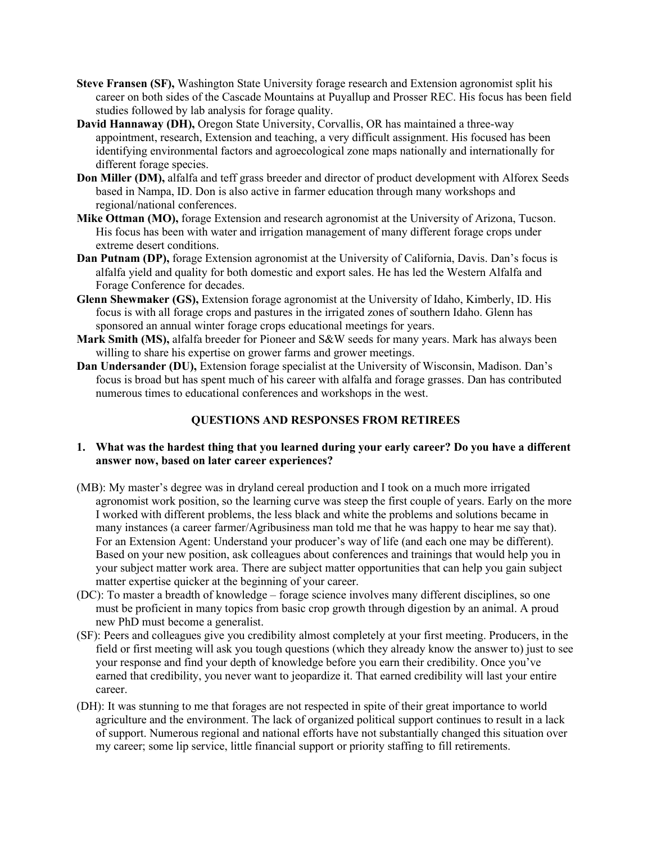- **Steve Fransen (SF),** Washington State University forage research and Extension agronomist split his career on both sides of the Cascade Mountains at Puyallup and Prosser REC. His focus has been field studies followed by lab analysis for forage quality.
- **David Hannaway (DH),** Oregon State University, Corvallis, OR has maintained a three-way appointment, research, Extension and teaching, a very difficult assignment. His focused has been identifying environmental factors and agroecological zone maps nationally and internationally for different forage species.
- **Don Miller (DM),** alfalfa and teff grass breeder and director of product development with Alforex Seeds based in Nampa, ID. Don is also active in farmer education through many workshops and regional/national conferences.
- **Mike Ottman (MO),** forage Extension and research agronomist at the University of Arizona, Tucson. His focus has been with water and irrigation management of many different forage crops under extreme desert conditions.
- **Dan Putnam (DP),** forage Extension agronomist at the University of California, Davis. Dan's focus is alfalfa yield and quality for both domestic and export sales. He has led the Western Alfalfa and Forage Conference for decades.
- **Glenn Shewmaker (GS),** Extension forage agronomist at the University of Idaho, Kimberly, ID. His focus is with all forage crops and pastures in the irrigated zones of southern Idaho. Glenn has sponsored an annual winter forage crops educational meetings for years.
- **Mark Smith (MS),** alfalfa breeder for Pioneer and S&W seeds for many years. Mark has always been willing to share his expertise on grower farms and grower meetings.
- **Dan Undersander (DU),** Extension forage specialist at the University of Wisconsin, Madison. Dan's focus is broad but has spent much of his career with alfalfa and forage grasses. Dan has contributed numerous times to educational conferences and workshops in the west.

#### **QUESTIONS AND RESPONSES FROM RETIREES**

### **1. What was the hardest thing that you learned during your early career? Do you have a different answer now, based on later career experiences?**

- (MB): My master's degree was in dryland cereal production and I took on a much more irrigated agronomist work position, so the learning curve was steep the first couple of years. Early on the more I worked with different problems, the less black and white the problems and solutions became in many instances (a career farmer/Agribusiness man told me that he was happy to hear me say that). For an Extension Agent: Understand your producer's way of life (and each one may be different). Based on your new position, ask colleagues about conferences and trainings that would help you in your subject matter work area. There are subject matter opportunities that can help you gain subject matter expertise quicker at the beginning of your career.
- (DC): To master a breadth of knowledge forage science involves many different disciplines, so one must be proficient in many topics from basic crop growth through digestion by an animal. A proud new PhD must become a generalist.
- (SF): Peers and colleagues give you credibility almost completely at your first meeting. Producers, in the field or first meeting will ask you tough questions (which they already know the answer to) just to see your response and find your depth of knowledge before you earn their credibility. Once you've earned that credibility, you never want to jeopardize it. That earned credibility will last your entire career.
- (DH): It was stunning to me that forages are not respected in spite of their great importance to world agriculture and the environment. The lack of organized political support continues to result in a lack of support. Numerous regional and national efforts have not substantially changed this situation over my career; some lip service, little financial support or priority staffing to fill retirements.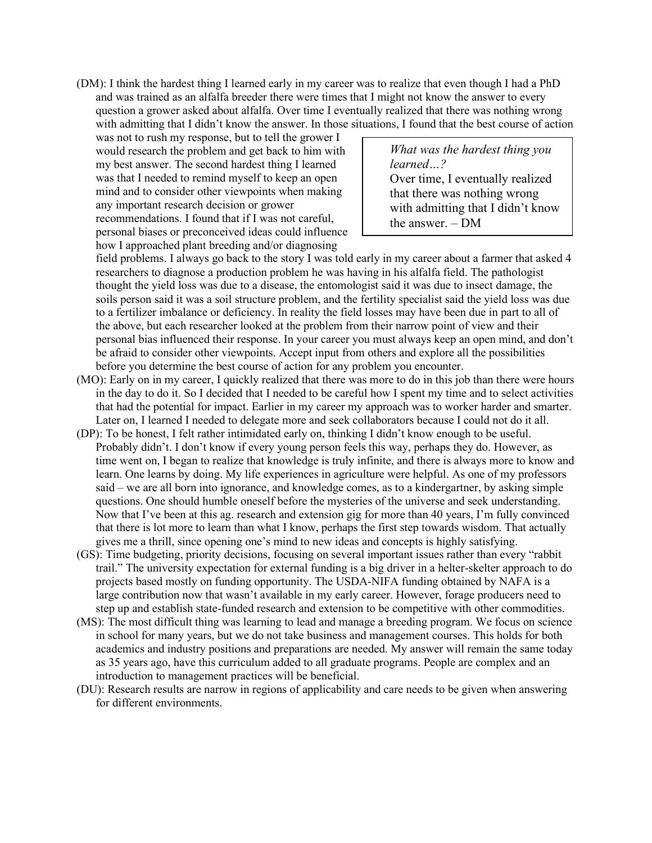(DM): I think the hardest thing I learned early in my career was to realize that even though I had a PhD and was trained as an alfalfa breeder there were times that I might not know the answer to every question a grower asked about alfalfa. Over time I eventually realized that there was nothing wrong with admitting that I didn't know the answer. In those situations, I found that the best course of action

was not to rush my response, but to tell the grower I would research the problem and get back to him with my best answer. The second hardest thing I learned was that I needed to remind myself to keep an open mind and to consider other viewpoints when making any important research decision or grower recommendations. I found that if I was not careful, personal biases or preconceived ideas could influence how I approached plant breeding and/or diagnosing

*What was the hardest thing you learned…?* Over time, I eventually realized that there was nothing wrong with admitting that I didn't know the answer. – DM

field problems. I always go back to the story I was told early in my career about a farmer that asked 4 researchers to diagnose a production problem he was having in his alfalfa field. The pathologist thought the yield loss was due to a disease, the entomologist said it was due to insect damage, the soils person said it was a soil structure problem, and the fertility specialist said the yield loss was due to a fertilizer imbalance or deficiency. In reality the field losses may have been due in part to all of the above, but each researcher looked at the problem from their narrow point of view and their personal bias influenced their response. In your career you must always keep an open mind, and don't be afraid to consider other viewpoints. Accept input from others and explore all the possibilities before you determine the best course of action for any problem you encounter.

- (MO): Early on in my career, I quickly realized that there was more to do in this job than there were hours in the day to do it. So I decided that I needed to be careful how I spent my time and to select activities that had the potential for impact. Earlier in my career my approach was to worker harder and smarter. Later on, I learned I needed to delegate more and seek collaborators because I could not do it all.
- (DP): To be honest, I felt rather intimidated early on, thinking I didn't know enough to be useful. Probably didn't. I don't know if every young person feels this way, perhaps they do. However, as time went on, I began to realize that knowledge is truly infinite, and there is always more to know and learn. One learns by doing. My life experiences in agriculture were helpful. As one of my professors said – we are all born into ignorance, and knowledge comes, as to a kindergartner, by asking simple questions. One should humble oneself before the mysteries of the universe and seek understanding. Now that I've been at this ag. research and extension gig for more than 40 years, I'm fully convinced that there is lot more to learn than what I know, perhaps the first step towards wisdom. That actually gives me a thrill, since opening one's mind to new ideas and concepts is highly satisfying.
- (GS): Time budgeting, priority decisions, focusing on several important issues rather than every "rabbit trail." The university expectation for external funding is a big driver in a helter-skelter approach to do projects based mostly on funding opportunity. The USDA-NIFA funding obtained by NAFA is a large contribution now that wasn't available in my early career. However, forage producers need to step up and establish state-funded research and extension to be competitive with other commodities.
- (MS): The most difficult thing was learning to lead and manage a breeding program. We focus on science in school for many years, but we do not take business and management courses. This holds for both academics and industry positions and preparations are needed. My answer will remain the same today as 35 years ago, have this curriculum added to all graduate programs. People are complex and an introduction to management practices will be beneficial.
- (DU): Research results are narrow in regions of applicability and care needs to be given when answering for different environments.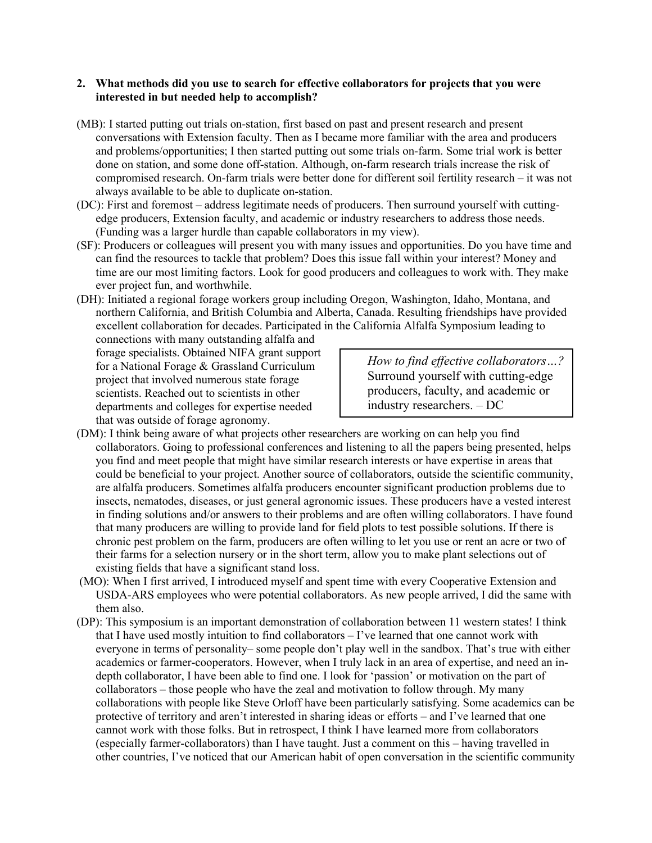#### **2. What methods did you use to search for effective collaborators for projects that you were interested in but needed help to accomplish?**

- (MB): I started putting out trials on-station, first based on past and present research and present conversations with Extension faculty. Then as I became more familiar with the area and producers and problems/opportunities; I then started putting out some trials on-farm. Some trial work is better done on station, and some done off-station. Although, on-farm research trials increase the risk of compromised research. On-farm trials were better done for different soil fertility research – it was not always available to be able to duplicate on-station.
- (DC): First and foremost address legitimate needs of producers. Then surround yourself with cuttingedge producers, Extension faculty, and academic or industry researchers to address those needs. (Funding was a larger hurdle than capable collaborators in my view).
- (SF): Producers or colleagues will present you with many issues and opportunities. Do you have time and can find the resources to tackle that problem? Does this issue fall within your interest? Money and time are our most limiting factors. Look for good producers and colleagues to work with. They make ever project fun, and worthwhile.
- (DH): Initiated a regional forage workers group including Oregon, Washington, Idaho, Montana, and northern California, and British Columbia and Alberta, Canada. Resulting friendships have provided excellent collaboration for decades. Participated in the California Alfalfa Symposium leading to

connections with many outstanding alfalfa and forage specialists. Obtained NIFA grant support for a National Forage & Grassland Curriculum project that involved numerous state forage scientists. Reached out to scientists in other departments and colleges for expertise needed that was outside of forage agronomy.

*How to find effective collaborators…?* Surround yourself with cutting-edge producers, faculty, and academic or industry researchers. – DC

- (DM): I think being aware of what projects other researchers are working on can help you find collaborators. Going to professional conferences and listening to all the papers being presented, helps you find and meet people that might have similar research interests or have expertise in areas that could be beneficial to your project. Another source of collaborators, outside the scientific community, are alfalfa producers. Sometimes alfalfa producers encounter significant production problems due to insects, nematodes, diseases, or just general agronomic issues. These producers have a vested interest in finding solutions and/or answers to their problems and are often willing collaborators. I have found that many producers are willing to provide land for field plots to test possible solutions. If there is chronic pest problem on the farm, producers are often willing to let you use or rent an acre or two of their farms for a selection nursery or in the short term, allow you to make plant selections out of existing fields that have a significant stand loss.
- (MO): When I first arrived, I introduced myself and spent time with every Cooperative Extension and USDA-ARS employees who were potential collaborators. As new people arrived, I did the same with them also.
- (DP): This symposium is an important demonstration of collaboration between 11 western states! I think that I have used mostly intuition to find collaborators – I've learned that one cannot work with everyone in terms of personality– some people don't play well in the sandbox. That's true with either academics or farmer-cooperators. However, when I truly lack in an area of expertise, and need an indepth collaborator, I have been able to find one. I look for 'passion' or motivation on the part of collaborators – those people who have the zeal and motivation to follow through. My many collaborations with people like Steve Orloff have been particularly satisfying. Some academics can be protective of territory and aren't interested in sharing ideas or efforts – and I've learned that one cannot work with those folks. But in retrospect, I think I have learned more from collaborators (especially farmer-collaborators) than I have taught. Just a comment on this – having travelled in other countries, I've noticed that our American habit of open conversation in the scientific community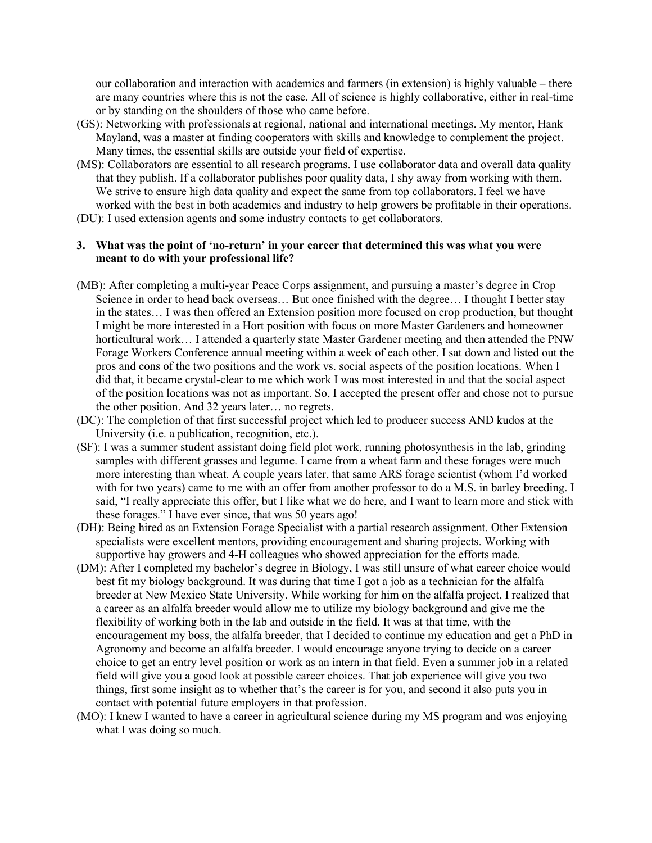our collaboration and interaction with academics and farmers (in extension) is highly valuable – there are many countries where this is not the case. All of science is highly collaborative, either in real-time or by standing on the shoulders of those who came before.

- (GS): Networking with professionals at regional, national and international meetings. My mentor, Hank Mayland, was a master at finding cooperators with skills and knowledge to complement the project. Many times, the essential skills are outside your field of expertise.
- (MS): Collaborators are essential to all research programs. I use collaborator data and overall data quality that they publish. If a collaborator publishes poor quality data, I shy away from working with them. We strive to ensure high data quality and expect the same from top collaborators. I feel we have worked with the best in both academics and industry to help growers be profitable in their operations.
- (DU): I used extension agents and some industry contacts to get collaborators.

#### **3. What was the point of 'no-return' in your career that determined this was what you were meant to do with your professional life?**

- (MB): After completing a multi-year Peace Corps assignment, and pursuing a master's degree in Crop Science in order to head back overseas... But once finished with the degree... I thought I better stay in the states… I was then offered an Extension position more focused on crop production, but thought I might be more interested in a Hort position with focus on more Master Gardeners and homeowner horticultural work… I attended a quarterly state Master Gardener meeting and then attended the PNW Forage Workers Conference annual meeting within a week of each other. I sat down and listed out the pros and cons of the two positions and the work vs. social aspects of the position locations. When I did that, it became crystal-clear to me which work I was most interested in and that the social aspect of the position locations was not as important. So, I accepted the present offer and chose not to pursue the other position. And 32 years later… no regrets.
- (DC): The completion of that first successful project which led to producer success AND kudos at the University (i.e. a publication, recognition, etc.).
- (SF): I was a summer student assistant doing field plot work, running photosynthesis in the lab, grinding samples with different grasses and legume. I came from a wheat farm and these forages were much more interesting than wheat. A couple years later, that same ARS forage scientist (whom I'd worked with for two years) came to me with an offer from another professor to do a M.S. in barley breeding. I said, "I really appreciate this offer, but I like what we do here, and I want to learn more and stick with these forages." I have ever since, that was 50 years ago!
- (DH): Being hired as an Extension Forage Specialist with a partial research assignment. Other Extension specialists were excellent mentors, providing encouragement and sharing projects. Working with supportive hay growers and 4-H colleagues who showed appreciation for the efforts made.
- (DM): After I completed my bachelor's degree in Biology, I was still unsure of what career choice would best fit my biology background. It was during that time I got a job as a technician for the alfalfa breeder at New Mexico State University. While working for him on the alfalfa project, I realized that a career as an alfalfa breeder would allow me to utilize my biology background and give me the flexibility of working both in the lab and outside in the field. It was at that time, with the encouragement my boss, the alfalfa breeder, that I decided to continue my education and get a PhD in Agronomy and become an alfalfa breeder. I would encourage anyone trying to decide on a career choice to get an entry level position or work as an intern in that field. Even a summer job in a related field will give you a good look at possible career choices. That job experience will give you two things, first some insight as to whether that's the career is for you, and second it also puts you in contact with potential future employers in that profession.
- (MO): I knew I wanted to have a career in agricultural science during my MS program and was enjoying what I was doing so much.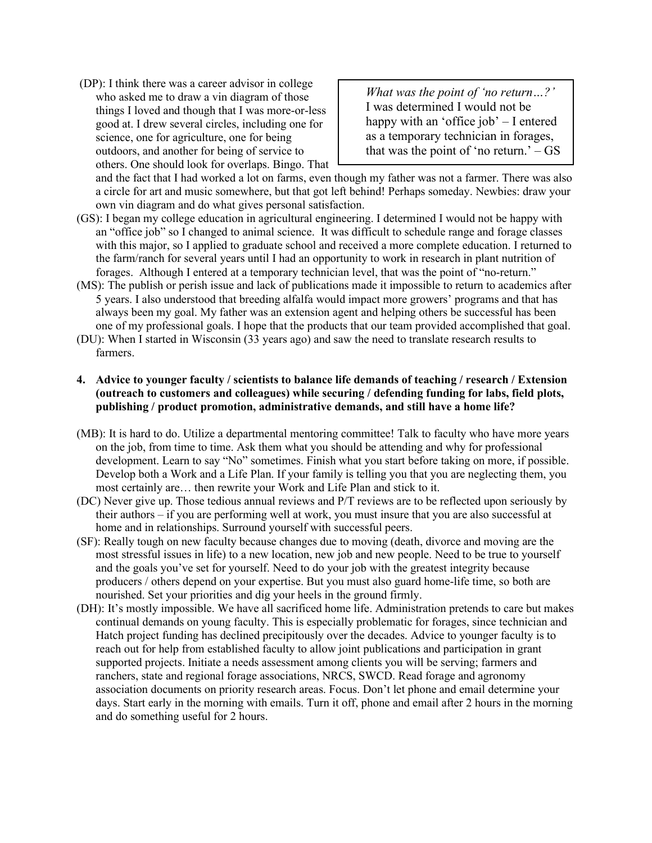(DP): I think there was a career advisor in college who asked me to draw a vin diagram of those things I loved and though that I was more-or-less good at. I drew several circles, including one for science, one for agriculture, one for being outdoors, and another for being of service to others. One should look for overlaps. Bingo. That

*What was the point of 'no return…?'* I was determined I would not be happy with an 'office job' – I entered as a temporary technician in forages, that was the point of 'no return.' – GS

and the fact that I had worked a lot on farms, even though my father was not a farmer. There was also a circle for art and music somewhere, but that got left behind! Perhaps someday. Newbies: draw your own vin diagram and do what gives personal satisfaction.

- (GS): I began my college education in agricultural engineering. I determined I would not be happy with an "office job" so I changed to animal science. It was difficult to schedule range and forage classes with this major, so I applied to graduate school and received a more complete education. I returned to the farm/ranch for several years until I had an opportunity to work in research in plant nutrition of forages. Although I entered at a temporary technician level, that was the point of "no-return."
- (MS): The publish or perish issue and lack of publications made it impossible to return to academics after 5 years. I also understood that breeding alfalfa would impact more growers' programs and that has always been my goal. My father was an extension agent and helping others be successful has been one of my professional goals. I hope that the products that our team provided accomplished that goal.
- (DU): When I started in Wisconsin (33 years ago) and saw the need to translate research results to farmers.

## **4. Advice to younger faculty / scientists to balance life demands of teaching / research / Extension (outreach to customers and colleagues) while securing / defending funding for labs, field plots, publishing / product promotion, administrative demands, and still have a home life?**

- (MB): It is hard to do. Utilize a departmental mentoring committee! Talk to faculty who have more years on the job, from time to time. Ask them what you should be attending and why for professional development. Learn to say "No" sometimes. Finish what you start before taking on more, if possible. Develop both a Work and a Life Plan. If your family is telling you that you are neglecting them, you most certainly are… then rewrite your Work and Life Plan and stick to it.
- (DC) Never give up. Those tedious annual reviews and P/T reviews are to be reflected upon seriously by their authors – if you are performing well at work, you must insure that you are also successful at home and in relationships. Surround yourself with successful peers.
- (SF): Really tough on new faculty because changes due to moving (death, divorce and moving are the most stressful issues in life) to a new location, new job and new people. Need to be true to yourself and the goals you've set for yourself. Need to do your job with the greatest integrity because producers / others depend on your expertise. But you must also guard home-life time, so both are nourished. Set your priorities and dig your heels in the ground firmly.
- (DH): It's mostly impossible. We have all sacrificed home life. Administration pretends to care but makes continual demands on young faculty. This is especially problematic for forages, since technician and Hatch project funding has declined precipitously over the decades. Advice to younger faculty is to reach out for help from established faculty to allow joint publications and participation in grant supported projects. Initiate a needs assessment among clients you will be serving; farmers and ranchers, state and regional forage associations, NRCS, SWCD. Read forage and agronomy association documents on priority research areas. Focus. Don't let phone and email determine your days. Start early in the morning with emails. Turn it off, phone and email after 2 hours in the morning and do something useful for 2 hours.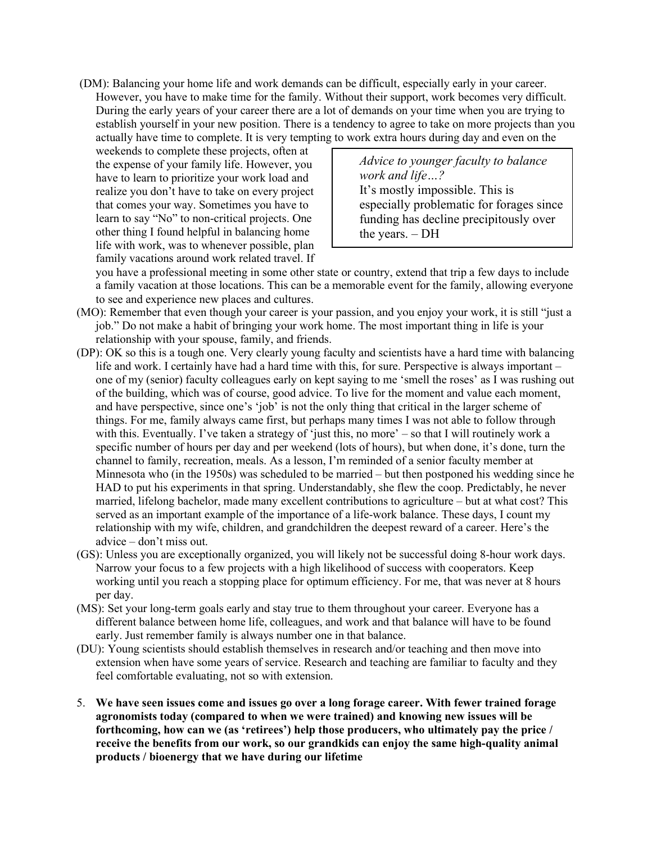(DM): Balancing your home life and work demands can be difficult, especially early in your career. However, you have to make time for the family. Without their support, work becomes very difficult. During the early years of your career there are a lot of demands on your time when you are trying to establish yourself in your new position. There is a tendency to agree to take on more projects than you actually have time to complete. It is very tempting to work extra hours during day and even on the

weekends to complete these projects, often at the expense of your family life. However, you have to learn to prioritize your work load and realize you don't have to take on every project that comes your way. Sometimes you have to learn to say "No" to non-critical projects. One other thing I found helpful in balancing home life with work, was to whenever possible, plan family vacations around work related travel. If

*Advice to younger faculty to balance work and life…?* It's mostly impossible. This is especially problematic for forages since funding has decline precipitously over the years. – DH

you have a professional meeting in some other state or country, extend that trip a few days to include a family vacation at those locations. This can be a memorable event for the family, allowing everyone to see and experience new places and cultures.

- (MO): Remember that even though your career is your passion, and you enjoy your work, it is still "just a job." Do not make a habit of bringing your work home. The most important thing in life is your relationship with your spouse, family, and friends.
- (DP): OK so this is a tough one. Very clearly young faculty and scientists have a hard time with balancing life and work. I certainly have had a hard time with this, for sure. Perspective is always important – one of my (senior) faculty colleagues early on kept saying to me 'smell the roses' as I was rushing out of the building, which was of course, good advice. To live for the moment and value each moment, and have perspective, since one's 'job' is not the only thing that critical in the larger scheme of things. For me, family always came first, but perhaps many times I was not able to follow through with this. Eventually. I've taken a strategy of 'just this, no more' – so that I will routinely work a specific number of hours per day and per weekend (lots of hours), but when done, it's done, turn the channel to family, recreation, meals. As a lesson, I'm reminded of a senior faculty member at Minnesota who (in the 1950s) was scheduled to be married – but then postponed his wedding since he HAD to put his experiments in that spring. Understandably, she flew the coop. Predictably, he never married, lifelong bachelor, made many excellent contributions to agriculture – but at what cost? This served as an important example of the importance of a life-work balance. These days, I count my relationship with my wife, children, and grandchildren the deepest reward of a career. Here's the advice – don't miss out.
- (GS): Unless you are exceptionally organized, you will likely not be successful doing 8-hour work days. Narrow your focus to a few projects with a high likelihood of success with cooperators. Keep working until you reach a stopping place for optimum efficiency. For me, that was never at 8 hours per day.
- (MS): Set your long-term goals early and stay true to them throughout your career. Everyone has a different balance between home life, colleagues, and work and that balance will have to be found early. Just remember family is always number one in that balance.
- (DU): Young scientists should establish themselves in research and/or teaching and then move into extension when have some years of service. Research and teaching are familiar to faculty and they feel comfortable evaluating, not so with extension.
- 5. **We have seen issues come and issues go over a long forage career. With fewer trained forage agronomists today (compared to when we were trained) and knowing new issues will be forthcoming, how can we (as 'retirees') help those producers, who ultimately pay the price / receive the benefits from our work, so our grandkids can enjoy the same high-quality animal products / bioenergy that we have during our lifetime**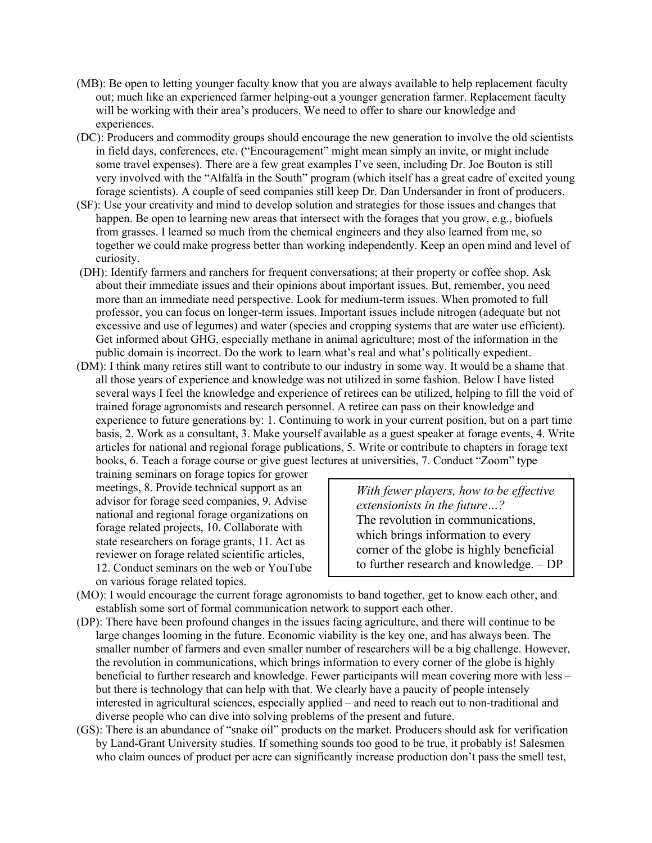- (MB): Be open to letting younger faculty know that you are always available to help replacement faculty out; much like an experienced farmer helping-out a younger generation farmer. Replacement faculty will be working with their area's producers. We need to offer to share our knowledge and experiences.
- (DC): Producers and commodity groups should encourage the new generation to involve the old scientists in field days, conferences, etc. ("Encouragement" might mean simply an invite, or might include some travel expenses). There are a few great examples I've seen, including Dr. Joe Bouton is still very involved with the "Alfalfa in the South" program (which itself has a great cadre of excited young forage scientists). A couple of seed companies still keep Dr. Dan Undersander in front of producers.
- (SF): Use your creativity and mind to develop solution and strategies for those issues and changes that happen. Be open to learning new areas that intersect with the forages that you grow, e.g., biofuels from grasses. I learned so much from the chemical engineers and they also learned from me, so together we could make progress better than working independently. Keep an open mind and level of curiosity.
- (DH): Identify farmers and ranchers for frequent conversations; at their property or coffee shop. Ask about their immediate issues and their opinions about important issues. But, remember, you need more than an immediate need perspective. Look for medium-term issues. When promoted to full professor, you can focus on longer-term issues. Important issues include nitrogen (adequate but not excessive and use of legumes) and water (species and cropping systems that are water use efficient). Get informed about GHG, especially methane in animal agriculture; most of the information in the public domain is incorrect. Do the work to learn what's real and what's politically expedient.
- (DM): I think many retires still want to contribute to our industry in some way. It would be a shame that all those years of experience and knowledge was not utilized in some fashion. Below I have listed several ways I feel the knowledge and experience of retirees can be utilized, helping to fill the void of trained forage agronomists and research personnel. A retiree can pass on their knowledge and experience to future generations by: 1. Continuing to work in your current position, but on a part time basis, 2. Work as a consultant, 3. Make yourself available as a guest speaker at forage events, 4. Write articles for national and regional forage publications, 5. Write or contribute to chapters in forage text books, 6. Teach a forage course or give guest lectures at universities, 7. Conduct "Zoom" type

training seminars on forage topics for grower meetings, 8. Provide technical support as an advisor for forage seed companies, 9. Advise national and regional forage organizations on forage related projects, 10. Collaborate with state researchers on forage grants, 11. Act as reviewer on forage related scientific articles, 12. Conduct seminars on the web or YouTube on various forage related topics.

*With fewer players, how to be effective extensionists in the future…?* The revolution in communications, which brings information to every corner of the globe is highly beneficial to further research and knowledge. – DP

- (MO): I would encourage the current forage agronomists to band together, get to know each other, and establish some sort of formal communication network to support each other.
- (DP): There have been profound changes in the issues facing agriculture, and there will continue to be large changes looming in the future. Economic viability is the key one, and has always been. The smaller number of farmers and even smaller number of researchers will be a big challenge. However, the revolution in communications, which brings information to every corner of the globe is highly beneficial to further research and knowledge. Fewer participants will mean covering more with less – but there is technology that can help with that. We clearly have a paucity of people intensely interested in agricultural sciences, especially applied – and need to reach out to non-traditional and diverse people who can dive into solving problems of the present and future.
- (GS): There is an abundance of "snake oil" products on the market. Producers should ask for verification by Land-Grant University studies. If something sounds too good to be true, it probably is! Salesmen who claim ounces of product per acre can significantly increase production don't pass the smell test,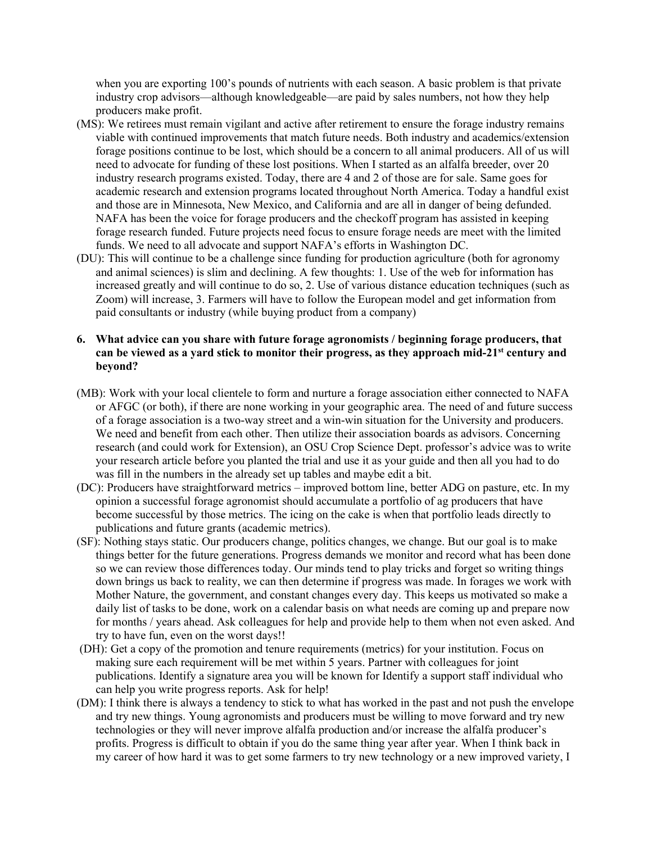when you are exporting 100's pounds of nutrients with each season. A basic problem is that private industry crop advisors—although knowledgeable—are paid by sales numbers, not how they help producers make profit.

- (MS): We retirees must remain vigilant and active after retirement to ensure the forage industry remains viable with continued improvements that match future needs. Both industry and academics/extension forage positions continue to be lost, which should be a concern to all animal producers. All of us will need to advocate for funding of these lost positions. When I started as an alfalfa breeder, over 20 industry research programs existed. Today, there are 4 and 2 of those are for sale. Same goes for academic research and extension programs located throughout North America. Today a handful exist and those are in Minnesota, New Mexico, and California and are all in danger of being defunded. NAFA has been the voice for forage producers and the checkoff program has assisted in keeping forage research funded. Future projects need focus to ensure forage needs are meet with the limited funds. We need to all advocate and support NAFA's efforts in Washington DC.
- (DU): This will continue to be a challenge since funding for production agriculture (both for agronomy and animal sciences) is slim and declining. A few thoughts: 1. Use of the web for information has increased greatly and will continue to do so, 2. Use of various distance education techniques (such as Zoom) will increase, 3. Farmers will have to follow the European model and get information from paid consultants or industry (while buying product from a company)

### **6. What advice can you share with future forage agronomists / beginning forage producers, that can be viewed as a yard stick to monitor their progress, as they approach mid-21st century and beyond?**

- (MB): Work with your local clientele to form and nurture a forage association either connected to NAFA or AFGC (or both), if there are none working in your geographic area. The need of and future success of a forage association is a two-way street and a win-win situation for the University and producers. We need and benefit from each other. Then utilize their association boards as advisors. Concerning research (and could work for Extension), an OSU Crop Science Dept. professor's advice was to write your research article before you planted the trial and use it as your guide and then all you had to do was fill in the numbers in the already set up tables and maybe edit a bit.
- (DC): Producers have straightforward metrics improved bottom line, better ADG on pasture, etc. In my opinion a successful forage agronomist should accumulate a portfolio of ag producers that have become successful by those metrics. The icing on the cake is when that portfolio leads directly to publications and future grants (academic metrics).
- (SF): Nothing stays static. Our producers change, politics changes, we change. But our goal is to make things better for the future generations. Progress demands we monitor and record what has been done so we can review those differences today. Our minds tend to play tricks and forget so writing things down brings us back to reality, we can then determine if progress was made. In forages we work with Mother Nature, the government, and constant changes every day. This keeps us motivated so make a daily list of tasks to be done, work on a calendar basis on what needs are coming up and prepare now for months / years ahead. Ask colleagues for help and provide help to them when not even asked. And try to have fun, even on the worst days!!
- (DH): Get a copy of the promotion and tenure requirements (metrics) for your institution. Focus on making sure each requirement will be met within 5 years. Partner with colleagues for joint publications. Identify a signature area you will be known for Identify a support staff individual who can help you write progress reports. Ask for help!
- (DM): I think there is always a tendency to stick to what has worked in the past and not push the envelope and try new things. Young agronomists and producers must be willing to move forward and try new technologies or they will never improve alfalfa production and/or increase the alfalfa producer's profits. Progress is difficult to obtain if you do the same thing year after year. When I think back in my career of how hard it was to get some farmers to try new technology or a new improved variety, I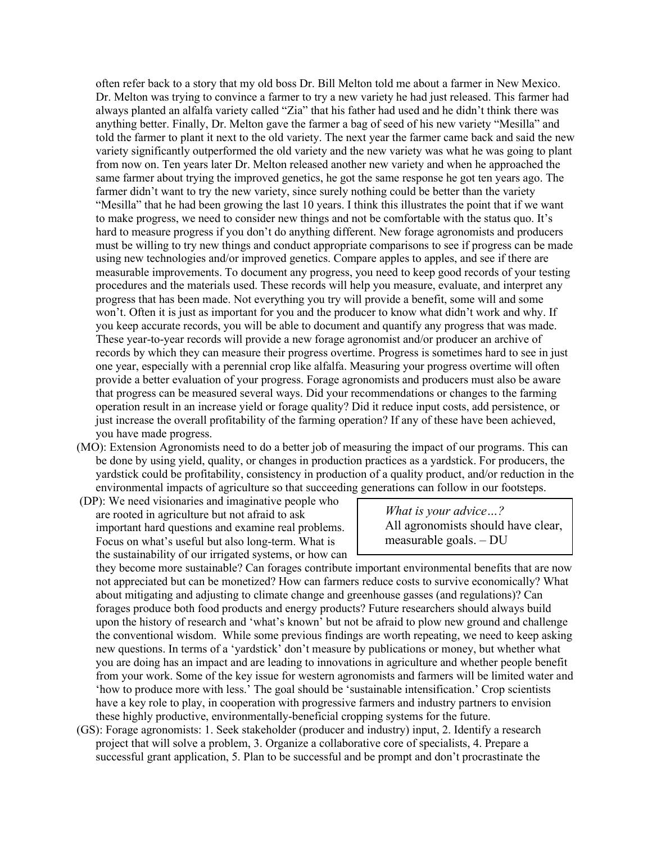often refer back to a story that my old boss Dr. Bill Melton told me about a farmer in New Mexico. Dr. Melton was trying to convince a farmer to try a new variety he had just released. This farmer had always planted an alfalfa variety called "Zia" that his father had used and he didn't think there was anything better. Finally, Dr. Melton gave the farmer a bag of seed of his new variety "Mesilla" and told the farmer to plant it next to the old variety. The next year the farmer came back and said the new variety significantly outperformed the old variety and the new variety was what he was going to plant from now on. Ten years later Dr. Melton released another new variety and when he approached the same farmer about trying the improved genetics, he got the same response he got ten years ago. The farmer didn't want to try the new variety, since surely nothing could be better than the variety "Mesilla" that he had been growing the last 10 years. I think this illustrates the point that if we want to make progress, we need to consider new things and not be comfortable with the status quo. It's hard to measure progress if you don't do anything different. New forage agronomists and producers must be willing to try new things and conduct appropriate comparisons to see if progress can be made using new technologies and/or improved genetics. Compare apples to apples, and see if there are measurable improvements. To document any progress, you need to keep good records of your testing procedures and the materials used. These records will help you measure, evaluate, and interpret any progress that has been made. Not everything you try will provide a benefit, some will and some won't. Often it is just as important for you and the producer to know what didn't work and why. If you keep accurate records, you will be able to document and quantify any progress that was made. These year-to-year records will provide a new forage agronomist and/or producer an archive of records by which they can measure their progress overtime. Progress is sometimes hard to see in just one year, especially with a perennial crop like alfalfa. Measuring your progress overtime will often provide a better evaluation of your progress. Forage agronomists and producers must also be aware that progress can be measured several ways. Did your recommendations or changes to the farming operation result in an increase yield or forage quality? Did it reduce input costs, add persistence, or just increase the overall profitability of the farming operation? If any of these have been achieved, you have made progress.

- (MO): Extension Agronomists need to do a better job of measuring the impact of our programs. This can be done by using yield, quality, or changes in production practices as a yardstick. For producers, the yardstick could be profitability, consistency in production of a quality product, and/or reduction in the environmental impacts of agriculture so that succeeding generations can follow in our footsteps.
- (DP): We need visionaries and imaginative people who are rooted in agriculture but not afraid to ask important hard questions and examine real problems. Focus on what's useful but also long-term. What is the sustainability of our irrigated systems, or how can

*What is your advice…?* All agronomists should have clear, measurable goals. – DU

they become more sustainable? Can forages contribute important environmental benefits that are now not appreciated but can be monetized? How can farmers reduce costs to survive economically? What about mitigating and adjusting to climate change and greenhouse gasses (and regulations)? Can forages produce both food products and energy products? Future researchers should always build upon the history of research and 'what's known' but not be afraid to plow new ground and challenge the conventional wisdom. While some previous findings are worth repeating, we need to keep asking new questions. In terms of a 'yardstick' don't measure by publications or money, but whether what you are doing has an impact and are leading to innovations in agriculture and whether people benefit from your work. Some of the key issue for western agronomists and farmers will be limited water and 'how to produce more with less.' The goal should be 'sustainable intensification.' Crop scientists have a key role to play, in cooperation with progressive farmers and industry partners to envision these highly productive, environmentally-beneficial cropping systems for the future.

(GS): Forage agronomists: 1. Seek stakeholder (producer and industry) input, 2. Identify a research project that will solve a problem, 3. Organize a collaborative core of specialists, 4. Prepare a successful grant application, 5. Plan to be successful and be prompt and don't procrastinate the